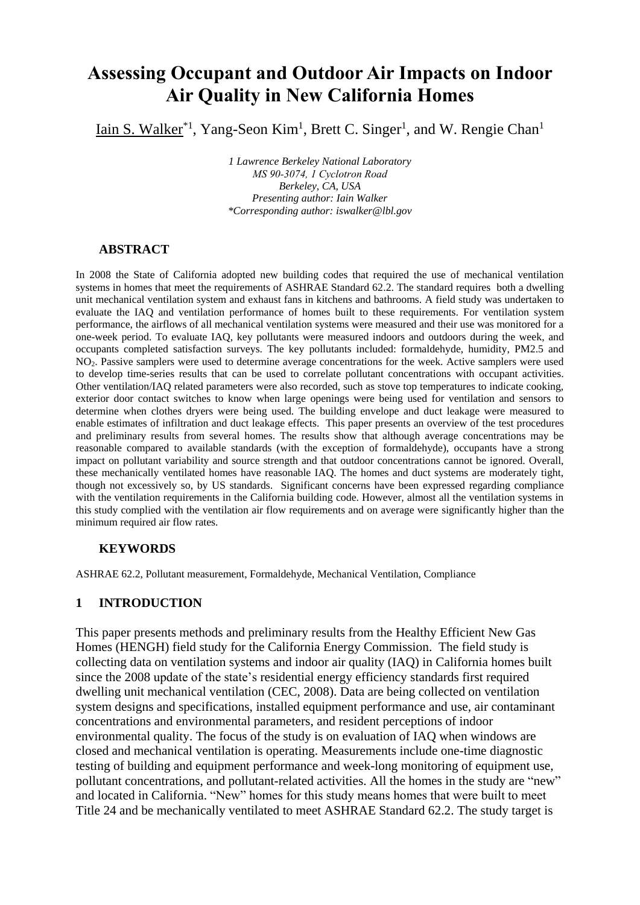# **Assessing Occupant and Outdoor Air Impacts on Indoor Air Quality in New California Homes**

Iain S. Walker<sup>\*1</sup>, Yang-Seon Kim<sup>1</sup>, Brett C. Singer<sup>1</sup>, and W. Rengie Chan<sup>1</sup>

*1 Lawrence Berkeley National Laboratory MS 90-3074, 1 Cyclotron Road Berkeley, CA, USA Presenting author: Iain Walker \*Corresponding author: iswalker@lbl.gov*

### **ABSTRACT**

In 2008 the State of California adopted new building codes that required the use of mechanical ventilation systems in homes that meet the requirements of ASHRAE Standard 62.2. The standard requires both a dwelling unit mechanical ventilation system and exhaust fans in kitchens and bathrooms. A field study was undertaken to evaluate the IAQ and ventilation performance of homes built to these requirements. For ventilation system performance, the airflows of all mechanical ventilation systems were measured and their use was monitored for a one-week period. To evaluate IAQ, key pollutants were measured indoors and outdoors during the week, and occupants completed satisfaction surveys. The key pollutants included: formaldehyde, humidity, PM2.5 and NO2. Passive samplers were used to determine average concentrations for the week. Active samplers were used to develop time-series results that can be used to correlate pollutant concentrations with occupant activities. Other ventilation/IAQ related parameters were also recorded, such as stove top temperatures to indicate cooking, exterior door contact switches to know when large openings were being used for ventilation and sensors to determine when clothes dryers were being used. The building envelope and duct leakage were measured to enable estimates of infiltration and duct leakage effects. This paper presents an overview of the test procedures and preliminary results from several homes. The results show that although average concentrations may be reasonable compared to available standards (with the exception of formaldehyde), occupants have a strong impact on pollutant variability and source strength and that outdoor concentrations cannot be ignored. Overall, these mechanically ventilated homes have reasonable IAQ. The homes and duct systems are moderately tight, though not excessively so, by US standards. Significant concerns have been expressed regarding compliance with the ventilation requirements in the California building code. However, almost all the ventilation systems in this study complied with the ventilation air flow requirements and on average were significantly higher than the minimum required air flow rates.

## **KEYWORDS**

ASHRAE 62.2, Pollutant measurement, Formaldehyde, Mechanical Ventilation, Compliance

## **1 INTRODUCTION**

This paper presents methods and preliminary results from the Healthy Efficient New Gas Homes (HENGH) field study for the California Energy Commission. The field study is collecting data on ventilation systems and indoor air quality (IAQ) in California homes built since the 2008 update of the state's residential energy efficiency standards first required dwelling unit mechanical ventilation (CEC, 2008). Data are being collected on ventilation system designs and specifications, installed equipment performance and use, air contaminant concentrations and environmental parameters, and resident perceptions of indoor environmental quality. The focus of the study is on evaluation of IAQ when windows are closed and mechanical ventilation is operating. Measurements include one-time diagnostic testing of building and equipment performance and week-long monitoring of equipment use, pollutant concentrations, and pollutant-related activities. All the homes in the study are "new" and located in California. "New" homes for this study means homes that were built to meet Title 24 and be mechanically ventilated to meet ASHRAE Standard 62.2. The study target is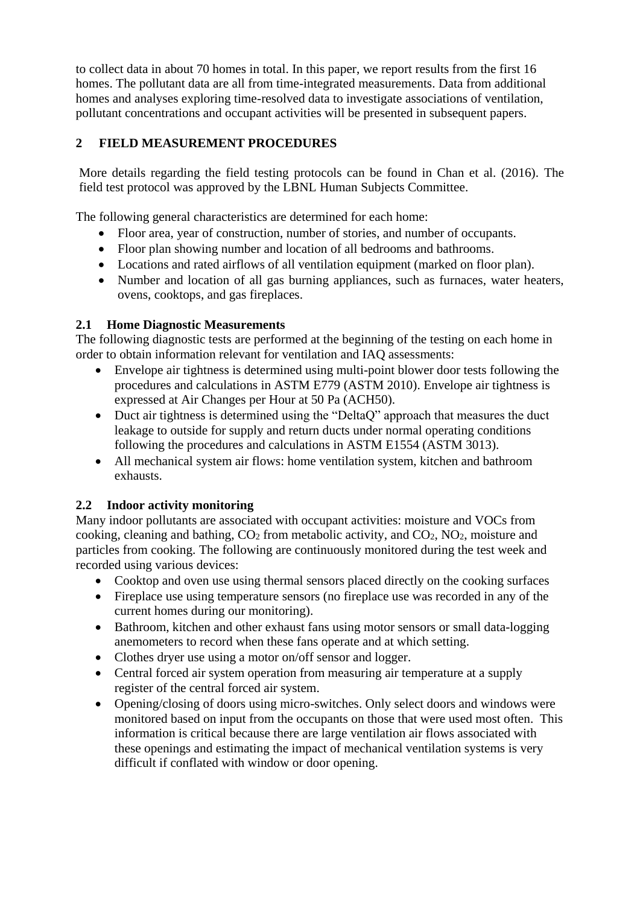to collect data in about 70 homes in total. In this paper, we report results from the first 16 homes. The pollutant data are all from time-integrated measurements. Data from additional homes and analyses exploring time-resolved data to investigate associations of ventilation, pollutant concentrations and occupant activities will be presented in subsequent papers.

# **2 FIELD MEASUREMENT PROCEDURES**

More details regarding the field testing protocols can be found in Chan et al. (2016). The field test protocol was approved by the LBNL Human Subjects Committee.

The following general characteristics are determined for each home:

- Floor area, year of construction, number of stories, and number of occupants.
- Floor plan showing number and location of all bedrooms and bathrooms.
- Locations and rated airflows of all ventilation equipment (marked on floor plan).
- Number and location of all gas burning appliances, such as furnaces, water heaters, ovens, cooktops, and gas fireplaces.

# **2.1 Home Diagnostic Measurements**

The following diagnostic tests are performed at the beginning of the testing on each home in order to obtain information relevant for ventilation and IAQ assessments:

- Envelope air tightness is determined using multi-point blower door tests following the procedures and calculations in ASTM E779 (ASTM 2010). Envelope air tightness is expressed at Air Changes per Hour at 50 Pa (ACH50).
- Duct air tightness is determined using the "DeltaQ" approach that measures the duct leakage to outside for supply and return ducts under normal operating conditions following the procedures and calculations in ASTM E1554 (ASTM 3013).
- All mechanical system air flows: home ventilation system, kitchen and bathroom exhausts.

# **2.2 Indoor activity monitoring**

Many indoor pollutants are associated with occupant activities: moisture and VOCs from cooking, cleaning and bathing, CO<sup>2</sup> from metabolic activity, and CO2, NO2, moisture and particles from cooking. The following are continuously monitored during the test week and recorded using various devices:

- Cooktop and oven use using thermal sensors placed directly on the cooking surfaces
- Fireplace use using temperature sensors (no fireplace use was recorded in any of the current homes during our monitoring).
- Bathroom, kitchen and other exhaust fans using motor sensors or small data-logging anemometers to record when these fans operate and at which setting.
- Clothes dryer use using a motor on/off sensor and logger.
- Central forced air system operation from measuring air temperature at a supply register of the central forced air system.
- Opening/closing of doors using micro-switches. Only select doors and windows were monitored based on input from the occupants on those that were used most often. This information is critical because there are large ventilation air flows associated with these openings and estimating the impact of mechanical ventilation systems is very difficult if conflated with window or door opening.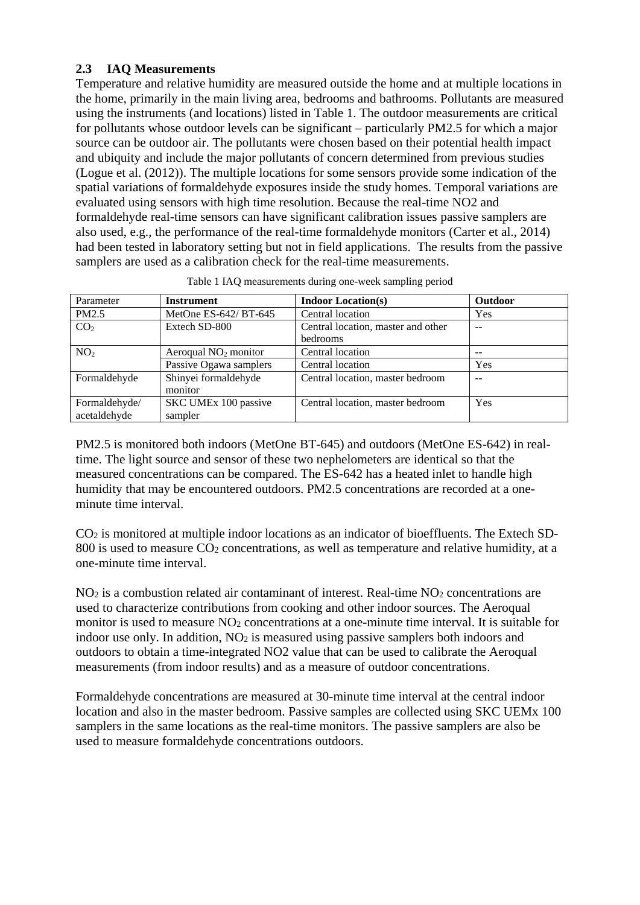# **2.3 IAQ Measurements**

Temperature and relative humidity are measured outside the home and at multiple locations in the home, primarily in the main living area, bedrooms and bathrooms. Pollutants are measured using the instruments (and locations) listed in [Table 1.](#page-2-0) The outdoor measurements are critical for pollutants whose outdoor levels can be significant – particularly PM2.5 for which a major source can be outdoor air. The pollutants were chosen based on their potential health impact and ubiquity and include the major pollutants of concern determined from previous studies (Logue et al. (2012)). The multiple locations for some sensors provide some indication of the spatial variations of formaldehyde exposures inside the study homes. Temporal variations are evaluated using sensors with high time resolution. Because the real-time NO2 and formaldehyde real-time sensors can have significant calibration issues passive samplers are also used, e.g., the performance of the real-time formaldehyde monitors (Carter et al., 2014) had been tested in laboratory setting but not in field applications. The results from the passive samplers are used as a calibration check for the real-time measurements.

<span id="page-2-0"></span>

| Parameter                     | <b>Instrument</b>               | <b>Indoor Location(s)</b>                      | <b>Outdoor</b> |
|-------------------------------|---------------------------------|------------------------------------------------|----------------|
| PM2.5                         | MetOne ES-642/ BT-645           | Central location                               | Yes            |
| CO <sub>2</sub>               | Extech SD-800                   | Central location, master and other<br>bedrooms |                |
| NO <sub>2</sub>               | Aeroqual $NO2$ monitor          | Central location                               | --             |
|                               | Passive Ogawa samplers          | Central location                               | Yes            |
| Formaldehyde                  | Shinyei formaldehyde<br>monitor | Central location, master bedroom               | --             |
| Formaldehyde/<br>acetaldehyde | SKC UMEx 100 passive<br>sampler | Central location, master bedroom               | Yes            |

| Table 1 IAQ measurements during one-week sampling period |  |  |
|----------------------------------------------------------|--|--|
|                                                          |  |  |

PM2.5 is monitored both indoors (MetOne BT-645) and outdoors (MetOne ES-642) in realtime. The light source and sensor of these two nephelometers are identical so that the measured concentrations can be compared. The ES-642 has a heated inlet to handle high humidity that may be encountered outdoors. PM2.5 concentrations are recorded at a oneminute time interval.

CO<sup>2</sup> is monitored at multiple indoor locations as an indicator of bioeffluents. The Extech SD-800 is used to measure  $\overline{CO_2}$  concentrations, as well as temperature and relative humidity, at a one-minute time interval.

NO<sub>2</sub> is a combustion related air contaminant of interest. Real-time NO<sub>2</sub> concentrations are used to characterize contributions from cooking and other indoor sources. The Aeroqual monitor is used to measure NO<sub>2</sub> concentrations at a one-minute time interval. It is suitable for indoor use only. In addition,  $NO<sub>2</sub>$  is measured using passive samplers both indoors and outdoors to obtain a time-integrated NO2 value that can be used to calibrate the Aeroqual measurements (from indoor results) and as a measure of outdoor concentrations.

Formaldehyde concentrations are measured at 30-minute time interval at the central indoor location and also in the master bedroom. Passive samples are collected using SKC UEMx 100 samplers in the same locations as the real-time monitors. The passive samplers are also be used to measure formaldehyde concentrations outdoors.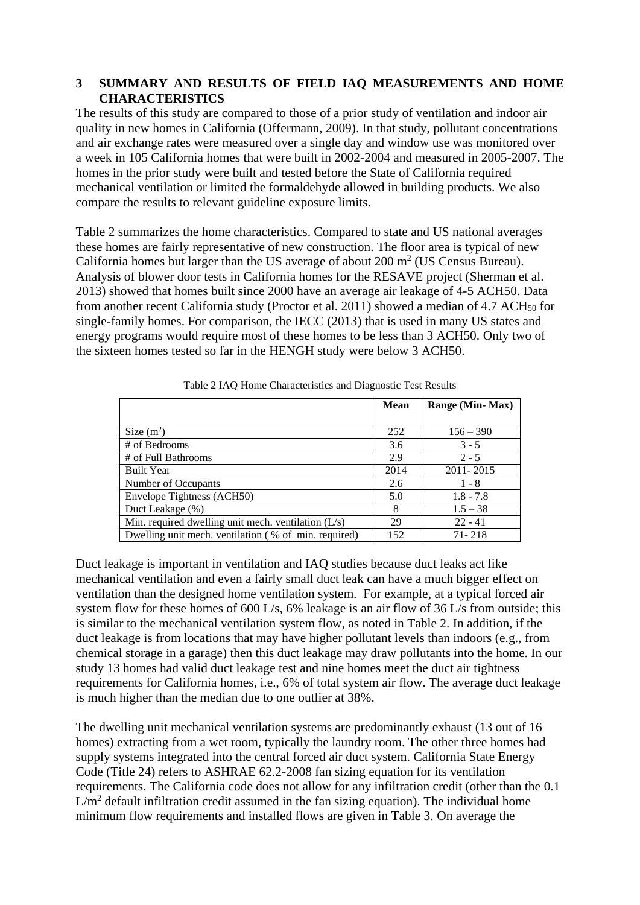## **3 SUMMARY AND RESULTS OF FIELD IAQ MEASUREMENTS AND HOME CHARACTERISTICS**

The results of this study are compared to those of a prior study of ventilation and indoor air quality in new homes in California (Offermann, 2009). In that study, pollutant concentrations and air exchange rates were measured over a single day and window use was monitored over a week in 105 California homes that were built in 2002-2004 and measured in 2005-2007. The homes in the prior study were built and tested before the State of California required mechanical ventilation or limited the formaldehyde allowed in building products. We also compare the results to relevant guideline exposure limits.

Table 2 summarizes the home characteristics. Compared to state and US national averages these homes are fairly representative of new construction. The floor area is typical of new California homes but larger than the US average of about  $200 \text{ m}^2$  (US Census Bureau). Analysis of blower door tests in California homes for the RESAVE project (Sherman et al. 2013) showed that homes built since 2000 have an average air leakage of 4-5 ACH50. Data from another recent California study (Proctor et al. 2011) showed a median of 4.7 ACH<sub>50</sub> for single-family homes. For comparison, the IECC (2013) that is used in many US states and energy programs would require most of these homes to be less than 3 ACH50. Only two of the sixteen homes tested so far in the HENGH study were below 3 ACH50.

|                                                       | <b>Mean</b> | <b>Range (Min-Max)</b> |
|-------------------------------------------------------|-------------|------------------------|
|                                                       |             |                        |
| Size $(m^2)$                                          | 252         | $156 - 390$            |
| # of Bedrooms                                         | 3.6         | $3 - 5$                |
| # of Full Bathrooms                                   | 2.9         | $2 - 5$                |
| <b>Built Year</b>                                     | 2014        | 2011-2015              |
| Number of Occupants                                   | 2.6         | $1 - 8$                |
| Envelope Tightness (ACH50)                            | 5.0         | $1.8 - 7.8$            |
| Duct Leakage (%)                                      | 8           | $1.5 - 38$             |
| Min. required dwelling unit mech. ventilation $(L/s)$ | 29          | $22 - 41$              |
| Dwelling unit mech. ventilation (% of min. required)  | 152         | $71 - 218$             |

Table 2 IAQ Home Characteristics and Diagnostic Test Results

Duct leakage is important in ventilation and IAQ studies because duct leaks act like mechanical ventilation and even a fairly small duct leak can have a much bigger effect on ventilation than the designed home ventilation system. For example, at a typical forced air system flow for these homes of 600 L/s, 6% leakage is an air flow of 36 L/s from outside; this is similar to the mechanical ventilation system flow, as noted in Table 2. In addition, if the duct leakage is from locations that may have higher pollutant levels than indoors (e.g., from chemical storage in a garage) then this duct leakage may draw pollutants into the home. In our study 13 homes had valid duct leakage test and nine homes meet the duct air tightness requirements for California homes, i.e., 6% of total system air flow. The average duct leakage is much higher than the median due to one outlier at 38%.

The dwelling unit mechanical ventilation systems are predominantly exhaust (13 out of 16 homes) extracting from a wet room, typically the laundry room. The other three homes had supply systems integrated into the central forced air duct system. California State Energy Code (Title 24) refers to ASHRAE 62.2-2008 fan sizing equation for its ventilation requirements. The California code does not allow for any infiltration credit (other than the 0.1  $L/m<sup>2</sup>$  default infiltration credit assumed in the fan sizing equation). The individual home minimum flow requirements and installed flows are given in Table 3. On average the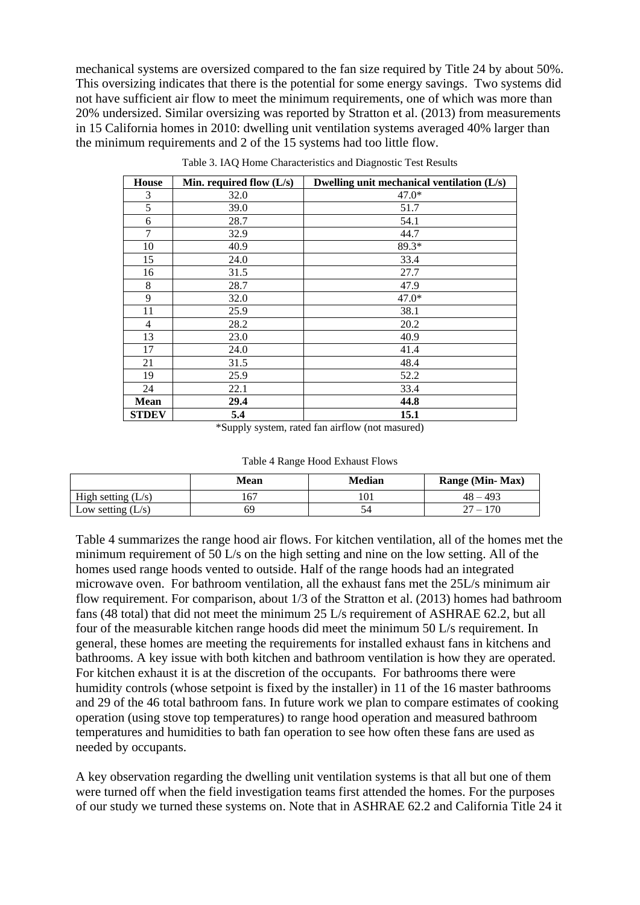mechanical systems are oversized compared to the fan size required by Title 24 by about 50%. This oversizing indicates that there is the potential for some energy savings. Two systems did not have sufficient air flow to meet the minimum requirements, one of which was more than 20% undersized. Similar oversizing was reported by Stratton et al. (2013) from measurements in 15 California homes in 2010: dwelling unit ventilation systems averaged 40% larger than the minimum requirements and 2 of the 15 systems had too little flow.

| <b>House</b>   | Min. required flow $(L/s)$ | Dwelling unit mechanical ventilation (L/s) |
|----------------|----------------------------|--------------------------------------------|
| 3              | 32.0                       | $47.0*$                                    |
| 5              | 39.0                       | 51.7                                       |
| 6              | 28.7                       | 54.1                                       |
| 7              | 32.9                       | 44.7                                       |
| 10             | 40.9                       | 89.3*                                      |
| 15             | 24.0                       | 33.4                                       |
| 16             | 31.5                       | 27.7                                       |
| 8              | 28.7                       | 47.9                                       |
| 9              | 32.0                       | $47.0*$                                    |
| 11             | 25.9                       | 38.1                                       |
| $\overline{4}$ | 28.2                       | 20.2                                       |
| 13             | 23.0                       | 40.9                                       |
| 17             | 24.0                       | 41.4                                       |
| 21             | 31.5                       | 48.4                                       |
| 19             | 25.9                       | 52.2                                       |
| 24             | 22.1                       | 33.4                                       |
| <b>Mean</b>    | 29.4                       | 44.8                                       |
| <b>STDEV</b>   | 5.4                        | 15.1                                       |

Table 3. IAQ Home Characteristics and Diagnostic Test Results

\*Supply system, rated fan airflow (not masured)

| Table 4 Range Hood Exhaust Flows |  |
|----------------------------------|--|
|----------------------------------|--|

<span id="page-4-0"></span>

|                      | Mean | Median | Range (Min-Max) |
|----------------------|------|--------|-----------------|
| High setting $(L/s)$ | 167  |        | $48 - 493$      |
| Low setting $(L/s)$  | 69   |        |                 |

[Table 4](#page-4-0) summarizes the range hood air flows. For kitchen ventilation, all of the homes met the minimum requirement of 50 L/s on the high setting and nine on the low setting. All of the homes used range hoods vented to outside. Half of the range hoods had an integrated microwave oven. For bathroom ventilation, all the exhaust fans met the 25L/s minimum air flow requirement. For comparison, about 1/3 of the Stratton et al. (2013) homes had bathroom fans (48 total) that did not meet the minimum 25 L/s requirement of ASHRAE 62.2, but all four of the measurable kitchen range hoods did meet the minimum 50 L/s requirement. In general, these homes are meeting the requirements for installed exhaust fans in kitchens and bathrooms. A key issue with both kitchen and bathroom ventilation is how they are operated. For kitchen exhaust it is at the discretion of the occupants. For bathrooms there were humidity controls (whose setpoint is fixed by the installer) in 11 of the 16 master bathrooms and 29 of the 46 total bathroom fans. In future work we plan to compare estimates of cooking operation (using stove top temperatures) to range hood operation and measured bathroom temperatures and humidities to bath fan operation to see how often these fans are used as needed by occupants.

A key observation regarding the dwelling unit ventilation systems is that all but one of them were turned off when the field investigation teams first attended the homes. For the purposes of our study we turned these systems on. Note that in ASHRAE 62.2 and California Title 24 it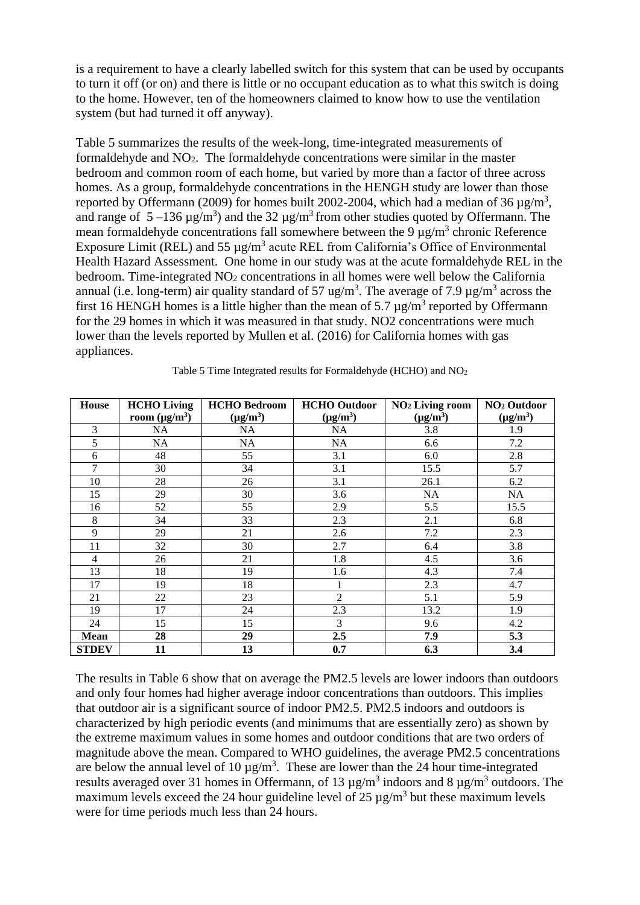is a requirement to have a clearly labelled switch for this system that can be used by occupants to turn it off (or on) and there is little or no occupant education as to what this switch is doing to the home. However, ten of the homeowners claimed to know how to use the ventilation system (but had turned it off anyway).

Table 5 summarizes the results of the week-long, time-integrated measurements of formaldehyde and NO2. The formaldehyde concentrations were similar in the master bedroom and common room of each home, but varied by more than a factor of three across homes. As a group, formaldehyde concentrations in the HENGH study are lower than those reported by Offermann (2009) for homes built 2002-2004, which had a median of 36  $\mu$ g/m<sup>3</sup>, and range of  $5-136 \mu g/m^3$ ) and the  $32 \mu g/m^3$  from other studies quoted by Offermann. The mean formaldehyde concentrations fall somewhere between the 9  $\mu$ g/m<sup>3</sup> chronic Reference Exposure Limit (REL) and 55  $\mu$ g/m<sup>3</sup> acute REL from California's Office of Environmental Health Hazard Assessment. One home in our study was at the acute formaldehyde REL in the bedroom. Time-integrated NO<sup>2</sup> concentrations in all homes were well below the California annual (i.e. long-term) air quality standard of 57 ug/m<sup>3</sup>. The average of 7.9  $\mu$ g/m<sup>3</sup> across the first 16 HENGH homes is a little higher than the mean of 5.7  $\mu$ g/m<sup>3</sup> reported by Offermann for the 29 homes in which it was measured in that study. NO2 concentrations were much lower than the levels reported by Mullen et al. (2016) for California homes with gas appliances.

| <b>House</b>   | <b>HCHO Living</b> | <b>HCHO</b> Bedroom | <b>HCHO</b> Outdoor | NO <sub>2</sub> Living room | NO <sub>2</sub> Outdoor |
|----------------|--------------------|---------------------|---------------------|-----------------------------|-------------------------|
|                | room $(\mu g/m^3)$ | $(\mu g/m^3)$       | $(\mu g/m^3)$       | $(\mu g/m^3)$               | $(\mu g/m^3)$           |
| 3              | NA                 | NA                  | NA                  | 3.8                         | 1.9                     |
| 5              | NA                 | NA                  | NA                  | 6.6                         | 7.2                     |
| 6              | 48                 | 55                  | 3.1                 | 6.0                         | 2.8                     |
| 7              | 30                 | 34                  | 3.1                 | 15.5                        | 5.7                     |
| 10             | 28                 | 26                  | 3.1                 | 26.1                        | 6.2                     |
| 15             | 29                 | 30                  | 3.6                 | NA                          | NA                      |
| 16             | 52                 | 55                  | 2.9                 | $\overline{5.5}$            | 15.5                    |
| 8              | 34                 | 33                  | 2.3                 | 2.1                         | 6.8                     |
| 9              | 29                 | 21                  | 2.6                 | 7.2                         | 2.3                     |
| 11             | 32                 | 30                  | 2.7                 | 6.4                         | 3.8                     |
| $\overline{4}$ | 26                 | 21                  | 1.8                 | 4.5                         | 3.6                     |
| 13             | 18                 | 19                  | 1.6                 | 4.3                         | 7.4                     |
| 17             | 19                 | 18                  |                     | 2.3                         | 4.7                     |
| 21             | 22                 | 23                  | $\overline{2}$      | 5.1                         | 5.9                     |
| 19             | 17                 | 24                  | 2.3                 | 13.2                        | 1.9                     |
| 24             | 15                 | 15                  | 3                   | 9.6                         | 4.2                     |
| <b>Mean</b>    | 28                 | 29                  | 2.5                 | 7.9                         | 5.3                     |
| <b>STDEV</b>   | 11                 | 13                  | 0.7                 | 6.3                         | 3.4                     |

Table 5 Time Integrated results for Formaldehyde (HCHO) and NO<sup>2</sup>

The results in Table 6 show that on average the PM2.5 levels are lower indoors than outdoors and only four homes had higher average indoor concentrations than outdoors. This implies that outdoor air is a significant source of indoor PM2.5. PM2.5 indoors and outdoors is characterized by high periodic events (and minimums that are essentially zero) as shown by the extreme maximum values in some homes and outdoor conditions that are two orders of magnitude above the mean. Compared to WHO guidelines, the average PM2.5 concentrations are below the annual level of 10  $\mu$ g/m<sup>3</sup>. These are lower than the 24 hour time-integrated results averaged over 31 homes in Offermann, of 13  $\mu$ g/m<sup>3</sup> indoors and 8  $\mu$ g/m<sup>3</sup> outdoors. The maximum levels exceed the 24 hour guideline level of 25  $\mu$ g/m<sup>3</sup> but these maximum levels were for time periods much less than 24 hours.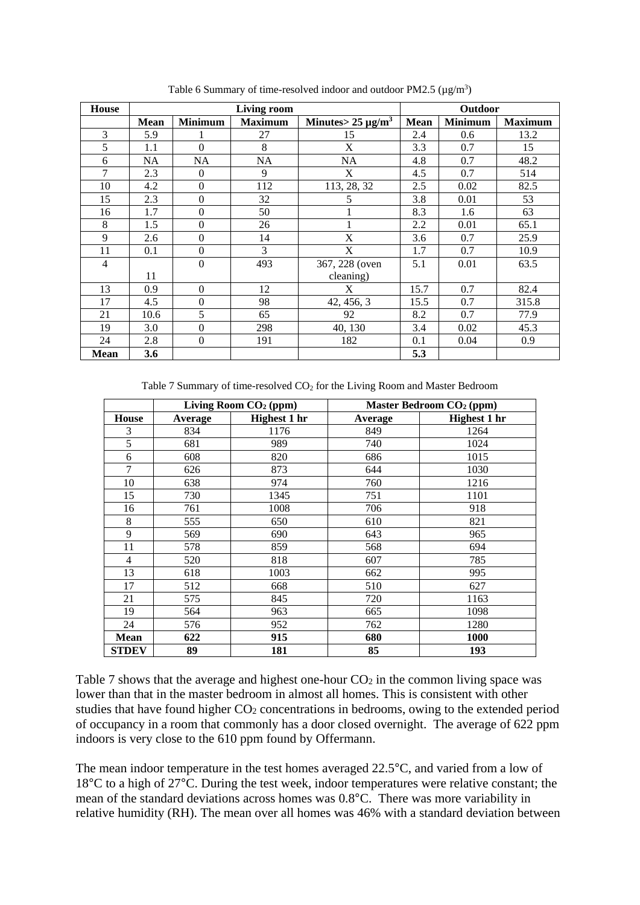| <b>House</b>   | <b>Living room</b> |                  |                | <b>Outdoor</b>         |             |                |                |
|----------------|--------------------|------------------|----------------|------------------------|-------------|----------------|----------------|
|                | <b>Mean</b>        | <b>Minimum</b>   | <b>Maximum</b> | Minutes $25 \mu g/m^3$ | <b>Mean</b> | <b>Minimum</b> | <b>Maximum</b> |
| 3              | 5.9                |                  | 27             | 15                     | 2.4         | 0.6            | 13.2           |
| 5              | 1.1                | $\Omega$         | 8              | X                      | 3.3         | 0.7            | 15             |
| 6              | NA                 | <b>NA</b>        | NA             | NA                     | 4.8         | 0.7            | 48.2           |
| 7              | 2.3                | $\mathbf{0}$     | 9              | X                      | 4.5         | 0.7            | 514            |
| 10             | 4.2                | $\Omega$         | 112            | 113, 28, 32            | 2.5         | 0.02           | 82.5           |
| 15             | 2.3                | $\boldsymbol{0}$ | 32             | 5                      | 3.8         | 0.01           | 53             |
| 16             | 1.7                | $\boldsymbol{0}$ | 50             |                        | 8.3         | 1.6            | 63             |
| 8              | 1.5                | $\mathbf{0}$     | 26             |                        | 2.2         | 0.01           | 65.1           |
| 9              | 2.6                | $\mathbf{0}$     | 14             | X                      | 3.6         | 0.7            | 25.9           |
| 11             | 0.1                | $\theta$         | 3              | X                      | 1.7         | 0.7            | 10.9           |
| $\overline{4}$ |                    | $\theta$         | 493            | 367, 228 (oven         | 5.1         | 0.01           | 63.5           |
|                | 11                 |                  |                | cleaning)              |             |                |                |
| 13             | 0.9                | $\mathbf{0}$     | 12             | X                      | 15.7        | 0.7            | 82.4           |
| 17             | 4.5                | $\Omega$         | 98             | 42, 456, 3             | 15.5        | 0.7            | 315.8          |
| 21             | 10.6               | 5                | 65             | 92                     | 8.2         | 0.7            | 77.9           |
| 19             | 3.0                | $\boldsymbol{0}$ | 298            | 40, 130                | 3.4         | 0.02           | 45.3           |
| 24             | 2.8                | $\mathbf{0}$     | 191            | 182                    | 0.1         | 0.04           | 0.9            |
| <b>Mean</b>    | 3.6                |                  |                |                        | 5.3         |                |                |

Table 6 Summary of time-resolved indoor and outdoor PM2.5 ( $\mu$ g/m<sup>3</sup>)

Table 7 Summary of time-resolved  $CO<sub>2</sub>$  for the Living Room and Master Bedroom

|                | Living Room CO <sub>2</sub> (ppm) |                     | Master Bedroom CO <sub>2</sub> (ppm) |                     |  |
|----------------|-----------------------------------|---------------------|--------------------------------------|---------------------|--|
| <b>House</b>   | Average                           | <b>Highest 1 hr</b> | Average                              | <b>Highest 1 hr</b> |  |
| 3              | 834                               | 1176                | 849                                  | 1264                |  |
| 5              | 681                               | 989                 | 740                                  | 1024                |  |
| 6              | 608                               | 820                 | 686                                  | 1015                |  |
| 7              | 626                               | 873                 | 644                                  | 1030                |  |
| 10             | 638                               | 974                 | 760                                  | 1216                |  |
| 15             | 730                               | 1345                | 751                                  | 1101                |  |
| 16             | 761                               | 1008                | 706                                  | 918                 |  |
| 8              | 555                               | 650                 | 610                                  | 821                 |  |
| 9              | 569                               | 690                 | 643                                  | 965                 |  |
| 11             | 578                               | 859                 | 568                                  | 694                 |  |
| $\overline{4}$ | 520                               | 818                 | 607                                  | 785                 |  |
| 13             | 618                               | 1003                | 662                                  | 995                 |  |
| 17             | 512                               | 668                 | 510                                  | 627                 |  |
| 21             | 575                               | 845                 | 720                                  | 1163                |  |
| 19             | 564                               | 963                 | 665                                  | 1098                |  |
| 24             | 576                               | 952                 | 762                                  | 1280                |  |
| <b>Mean</b>    | 622                               | 915                 | 680                                  | 1000                |  |
| <b>STDEV</b>   | 89                                | 181                 | 85                                   | 193                 |  |

Table 7 shows that the average and highest one-hour  $CO<sub>2</sub>$  in the common living space was lower than that in the master bedroom in almost all homes. This is consistent with other studies that have found higher CO<sub>2</sub> concentrations in bedrooms, owing to the extended period of occupancy in a room that commonly has a door closed overnight. The average of 622 ppm indoors is very close to the 610 ppm found by Offermann.

The mean indoor temperature in the test homes averaged 22.5°C, and varied from a low of °C to a high of 27°C. During the test week, indoor temperatures were relative constant; the mean of the standard deviations across homes was 0.8°C. There was more variability in relative humidity (RH). The mean over all homes was 46% with a standard deviation between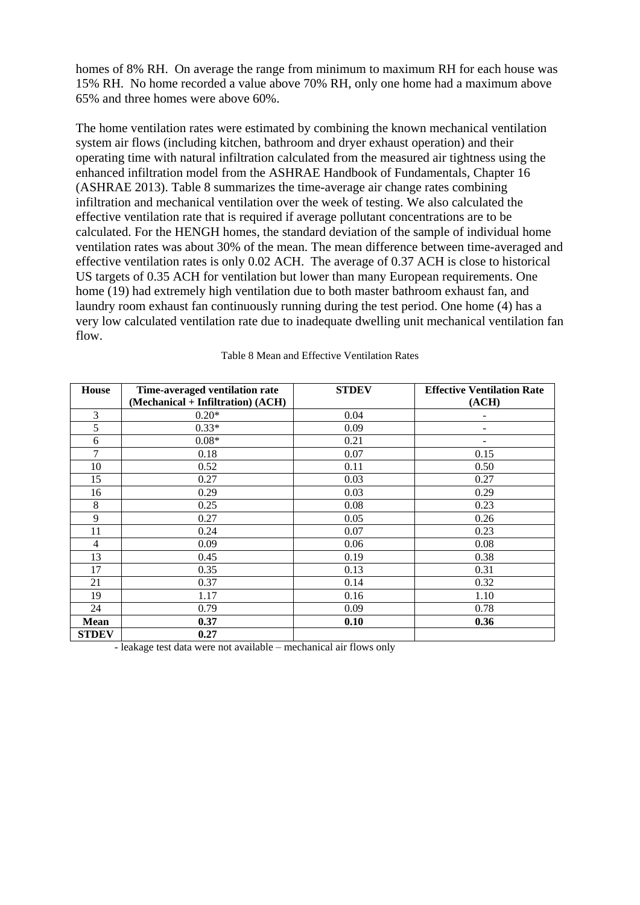homes of 8% RH. On average the range from minimum to maximum RH for each house was 15% RH. No home recorded a value above 70% RH, only one home had a maximum above 65% and three homes were above 60%.

The home ventilation rates were estimated by combining the known mechanical ventilation system air flows (including kitchen, bathroom and dryer exhaust operation) and their operating time with natural infiltration calculated from the measured air tightness using the enhanced infiltration model from the ASHRAE Handbook of Fundamentals, Chapter 16 (ASHRAE 2013). Table 8 summarizes the time-average air change rates combining infiltration and mechanical ventilation over the week of testing. We also calculated the effective ventilation rate that is required if average pollutant concentrations are to be calculated. For the HENGH homes, the standard deviation of the sample of individual home ventilation rates was about 30% of the mean. The mean difference between time-averaged and effective ventilation rates is only 0.02 ACH. The average of 0.37 ACH is close to historical US targets of 0.35 ACH for ventilation but lower than many European requirements. One home (19) had extremely high ventilation due to both master bathroom exhaust fan, and laundry room exhaust fan continuously running during the test period. One home (4) has a very low calculated ventilation rate due to inadequate dwelling unit mechanical ventilation fan flow.

| <b>House</b>   | Time-averaged ventilation rate    | <b>STDEV</b> | <b>Effective Ventilation Rate</b> |
|----------------|-----------------------------------|--------------|-----------------------------------|
|                | (Mechanical + Infiltration) (ACH) |              | (ACH)                             |
| $\mathfrak{Z}$ | $0.20*$                           | 0.04         |                                   |
| 5              | $0.33*$                           | 0.09         |                                   |
| 6              | $0.08*$                           | 0.21         |                                   |
| 7              | 0.18                              | 0.07         | 0.15                              |
| 10             | 0.52                              | 0.11         | 0.50                              |
| 15             | 0.27                              | 0.03         | 0.27                              |
| 16             | 0.29                              | 0.03         | 0.29                              |
| 8              | 0.25                              | 0.08         | 0.23                              |
| 9              | 0.27                              | 0.05         | 0.26                              |
| 11             | 0.24                              | 0.07         | 0.23                              |
| $\overline{4}$ | 0.09                              | 0.06         | 0.08                              |
| 13             | 0.45                              | 0.19         | 0.38                              |
| 17             | 0.35                              | 0.13         | 0.31                              |
| 21             | 0.37                              | 0.14         | 0.32                              |
| 19             | 1.17                              | 0.16         | 1.10                              |
| 24             | 0.79                              | 0.09         | 0.78                              |
| <b>Mean</b>    | 0.37                              | 0.10         | 0.36                              |
| <b>STDEV</b>   | 0.27                              |              |                                   |

Table 8 Mean and Effective Ventilation Rates

- leakage test data were not available – mechanical air flows only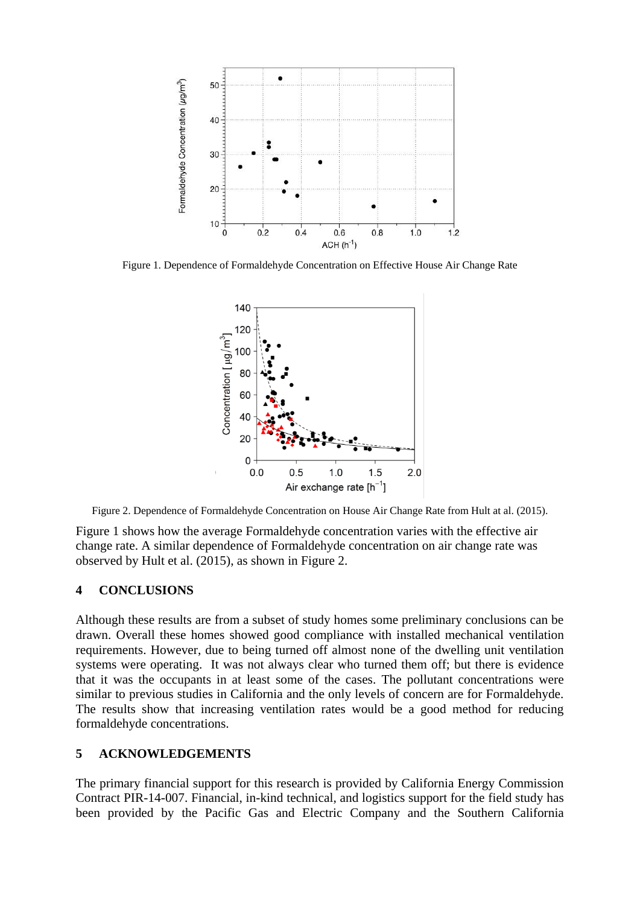

Figure 1. Dependence of Formaldehyde Concentration on Effective House Air Change Rate



Figure 2. Dependence of Formaldehyde Concentration on House Air Change Rate from Hult at al. (2015).

Figure 1 shows how the average Formaldehyde concentration varies with the effective air change rate. A similar dependence of Formaldehyde concentration on air change rate was observed by Hult et al. (2015), as shown in Figure 2.

#### **4 CONCLUSIONS**

Although these results are from a subset of study homes some preliminary conclusions can be drawn. Overall these homes showed good compliance with installed mechanical ventilation requirements. However, due to being turned off almost none of the dwelling unit ventilation systems were operating. It was not always clear who turned them off; but there is evidence that it was the occupants in at least some of the cases. The pollutant concentrations were similar to previous studies in California and the only levels of concern are for Formaldehyde. The results show that increasing ventilation rates would be a good method for reducing formaldehyde concentrations.

#### **5 ACKNOWLEDGEMENTS**

The primary financial support for this research is provided by California Energy Commission Contract PIR-14-007. Financial, in-kind technical, and logistics support for the field study has been provided by the Pacific Gas and Electric Company and the Southern California